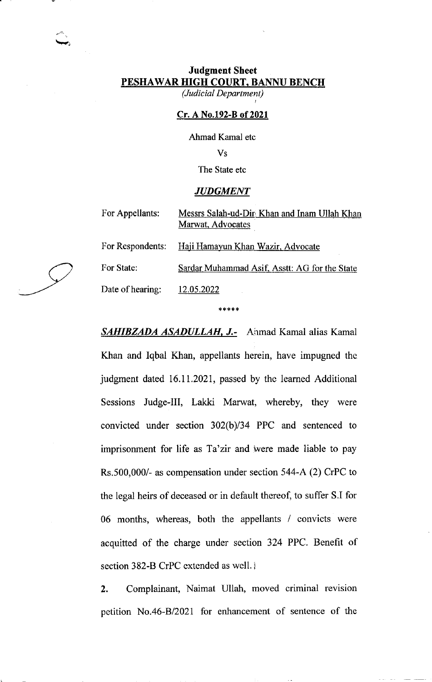# Judgment Shect PESHAWAR HIGH COURT. BANNU BENCH

(Judicial Department)

### Cr. A No.192-B of 2021

Ahmad Kamal etc

Vs

The State etc

#### **JUDGMENT**

For Appellants: Messrs Salah-ud-Dir Khan and Inam Ullah Khan Marwat, Advocates

For Respondents: Haji Hamayun Khan Wazir, Advocate

For State: Sardar Muhammad Asif, Asstt: AG for the State

Date of hearing: 12.05.2022

\*\*\*\*\*

SAHIBZADA ASADULLAH, J.- Anmad Kamal alias Kamal Khan and Iqbal Khan, appellants herein, have impugned the judgment dated 16.11.2021, passed by thc learned Additional Sessions Judge-III, Lakki Marwat, whereby, they were convicted under section  $302(b)/34$  PPC and sentenced to imprisonment for life as Ta'zir and were made liable to pay Rs.500,000/- as compensation under section 544-A (2) CrPC to the legal heirs of deceased or in default thereof, to suffer S.I for 06 months, whereas, both the appellants / convicts were acquitted of the charge under section 324 PPC. Benefit of section 382-B CrPC extended as well. i

2. Complainant, Naimat Ullah, moved criminal revision petition No.46-Bl202l for enhancement of sentence of the

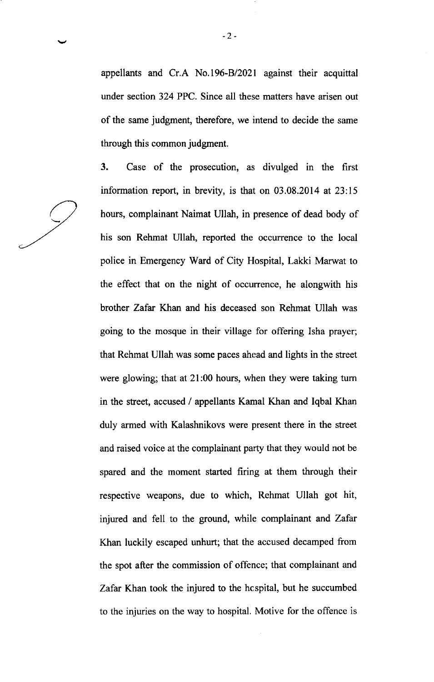appellants and Cr.A No.196-B/2021 against their acquittal under section 324 PPC. Since all these matters have arisen out of the same judgment, therefore, we intend to decide the same through this common judgment.

3. Case of the prosecution, as divulged in the first information report, in brevity, is that on 03.08.2014 at 23:15 hours, complainant Naimat Ullah, in presence of dead body of his son Rehmat Ullah, reported the occurrence to the local police in Emergency Ward of City Hospital, Lakki Marwat to the effect that on the night of occurrence, he alongwith his brother Zafar Khan and his deceased son Rehmat Ullah was going to the mosque in their village for offering Isha prayer; that Rehmat Ullah was some paces ahead and lights in the street were glowing; that at 2l:00 hours, when they were taking tum in the street, accused / appellants Kamal Khan and Iqbal Khan duly armed with Kalashnikovs were present there in the street and raised voice at the complainant party that they would not be spared and the moment started firing at them through their respective weapons, due to which, Rehmat Ullah got hit, injured and fell to the ground, while complainant and Zafar Khan luckily escaped unhurt; that the accused decamped from the spot after the commission of offence; that complainant and Zafar Khan took the injured to the hcspital, but he succumbed to the injuries on the way to hospital. Motive for the offence is

 $-2-$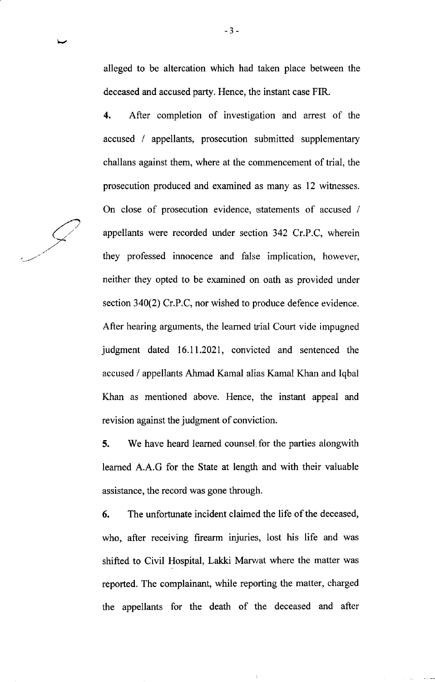alleged to be altercation which had taken place between the deceased and accused party. Hence, the instant case FIR.

4. After completion of investigation and arrest of the accused / appellants, prosecution submitted supplementary challans against them, where at the commencement of trial, the prosecution produced and examined as many as 12 witnesses. On close of prosecution evidence, statements of accused / appellants were recorded under section 342 Cr.P.C, wherein they professed innocence and false implication, however, neither they opted to be examined on oath as provided under section 340(2) Cr.P.C, nor wished to produce defence evidence. After hearing arguments, the learned trial Court vide impugned judgment dated 16.11.2021, convicted and sentenced the accused / appellants Ahmad Kamal alias Kamal Khan and Iqbal Khan as mentioned above. Hence, the instant appeal and revision against the judgment of conviction.

5. We have heard learned counsel for the parties alongwith leamed A.A.G for the State at length and with their valuable assistance, the record was gone through.

6. The unfortunate incident claimed the life of the deceased, who, after receiving firearm injuries, lost his life and was shifted to Civil Hospital, Lakki Marvat where the matter was reported. The complainant, while reporting the matter, charged the appellants for the death of the deceased and after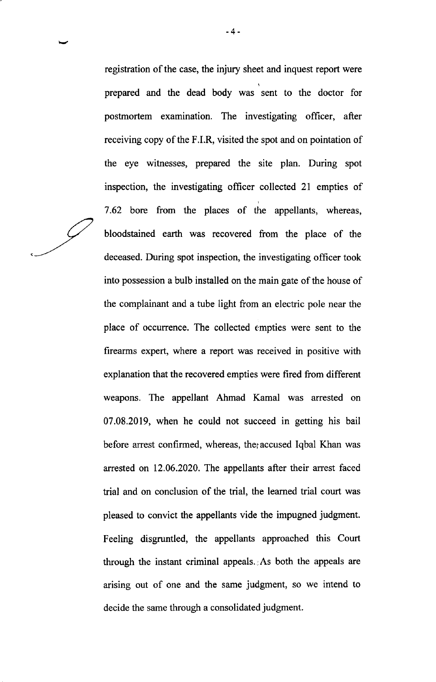registration of the case, the injury sheet and inquest report were prepared and the dead body was sent to the doctor for postrnortem examination. The investigating officer, after receiving copy of the F.LR, visited the spot and on pointation of the eye witnesses, prepared the site plan. During spot inspection, the investigating officer collected 2l empties of 7.62 bore from the places of the appellants, whereas, bloodstained earth was recovered from the place of the deceased. During spot inspection, the investigating officer took into possession a bulb installed on the main gate of the house of the complainant and a tube light from an electric pole near the place of occurrence. The collected empties were sent to the firearms expert, where a report was received in positive with explanation that the recovered empties were fired from different weapons. The appellant Ahmad Kamal was arrested on 07.08.2019, when he could not succeed in getting his bail before arrest confirmed, whereas, the accused Iqbal Khan was arrested on 12.06.2020. The appellants after their arrest faced trial and on conclusion of the trial, the learned trial court was pleased to convict the appellants vide the impugned judgment. Feeling disgruntled, the appellants approached this Court through the instant criminal appeals. As both the appeals are arising out of one and the same judgment, so we intend to decide the same through a consolidated judgment.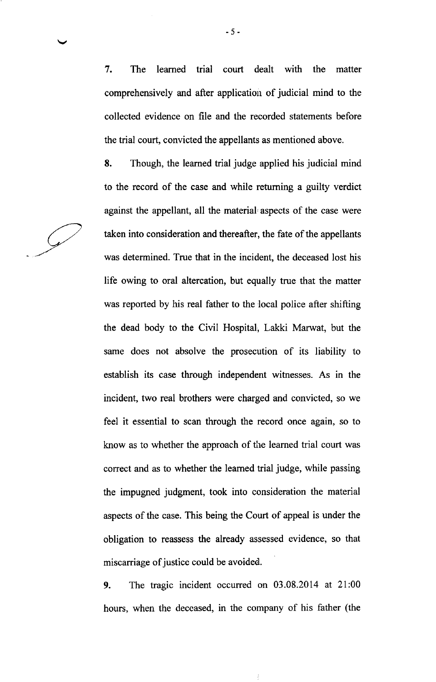7. The leamed trial court dealt with the matter comprehensively and after application of judicial mind to the collected evidence on file and the recorded statements before the trial court, convicted the appellants as mentioned above.

8. Though, the leamed trial judge applied his judicial mind to the record of the case and while retuming a guilty verdict against the appellant, all the material aspects of the case were taken into consideration and thereafter, the fate of the appellants was determined. True that in the incident, the deceased lost his life owing to oral altercation, but equally true that the matter was reported by his real father to the local police after shifting the dead body to the Civil Hospital, Lakki Marwat, but the same does not absolve the prosecution of its liability to establish its case through independent witnesses. As in the incident, two real brothers were charged and convicted, so we feel it essential to scan through the record once again, so to know as to whether the approach of the leamed trial court was correct and as to whether the learned trial judge, while passing the impugned judgment, took into consideration the material aspects of the case. This being the Court of appeal is under the obligation to reassess the already assessed evidence, so that miscarriage of justice could be avoided.

9. The tragic incident occurred on 03.08.2014 at 2l:00 hours, when the deceased, in the company of his father (the

-5-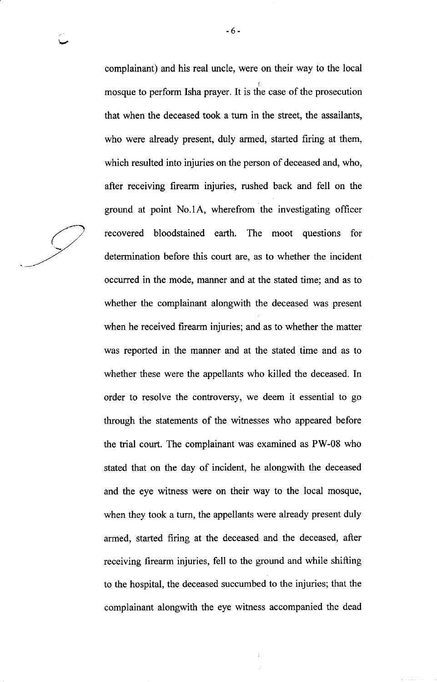complainant) and his real uncle, were on their way to the local mosque to perform Isha prayer. It is the case of the prosecution that when the deceased took a tum in the street, the assailants, who were already present, duly armed, started firing at them, which resulted into injuries on the person of deceased and, who, after receiving firearm injuries, rushed back and fell on the ground at point No.lA, wherefrom the investigating officer recovered bloodstained earth. The moot questions for determination before this court are, as to whether the incident occurred in the mode, manner and at the stated time; and as to whether the complainant alongwith the deceased was present when he received firearm injuries; and as to whether the matter was reported in the manner and at the stated time and as to whether these were the appellants who killed the deceased. In order to resolve the controversy, we deem it essential to go through the statements of the witnesses who appeared before the trial court. The complainant was examined as PW-08 who stated that on the day of incident, he alongwith the deceased and the eye witness were on their way to the local mosque, when they took a turn, the appellants were already present duly armed, started firing at the deceased and the deceased, after receiving firearm injuries, fell to the ground and while shifting to the hospital, the deceased succumbed to the injuries; that the complainant alongwith the eye witness accompanied the dead

-6-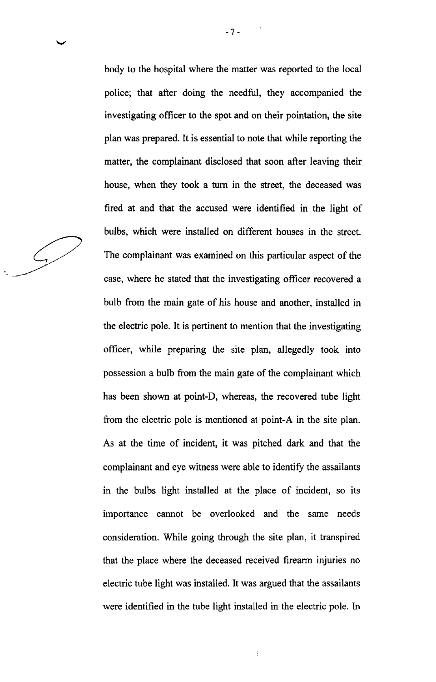$\mathcal{L}$ 

body to the hospital where the matter was reported to the local police; that after doing the needful, they accompanied the investigating officer to the spot and on their pointation, the site plan was prepared. It is essential to note that while reporting the matter, the complainant disclosed that soon after leaving their house, when they took a furn in the street, the deceased was fired at and that the accused were identified in the light of bulbs, which were installed on different houses in the street. The complainant was examined on this particular aspect of the case, where he stated that the investigating officer recovered a bulb from the main gate of his house and another, installed in the electric pole. It is pertinent to mention that the investigating officer, while preparing the site plan, allegedly took into possession a bulb from the main gate of the complainant which has been shown at point-D, whereas, the recovered tube light from the electric pole is mentioned at point-A in the site plan. As at the time of incident, it was pitched dark and that the complainant and eye witness were able to identify the assailants in the bulbs light installed at the place of incident, so its importance cannot be overlooked and the same needs consideration. While going through the site plan, it transpired that the place where the deceased received firearm injuries no electric tube light was installed. It was argued that the assailants were identified in the tube light installed in the electric pole. In

f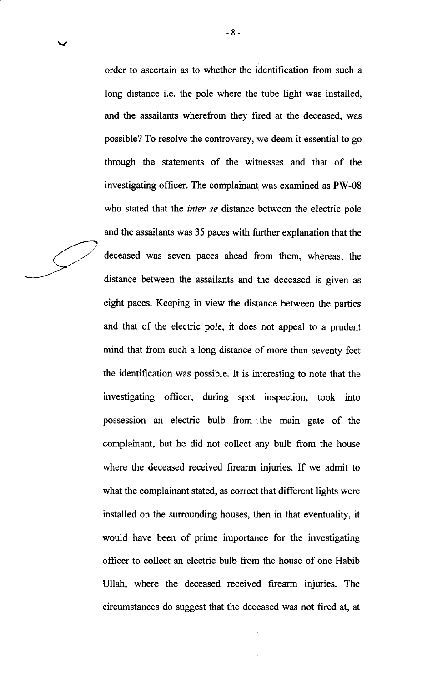order to ascertain as to whether the identification from such a long distance i.e. the pole where the tube light was installed, and the assailants wherefrom they fired at the deceased, was possible? To resolve the controversy, we deem it essential to go through the statements of the wifiresses and that of the investigating officer. The complainant was examined as PW-08 who stated that the inter se distance between the electric pole and the assailants was 35 paces with further explanation that the deceased was seven paces ahead from them, whereas, the distance between the assailants and the deceased is given as eight paces. Keeping in view the distance between the parties and that of the electric pole, it does not appeal to a prudent mind that from such a long distance of more than seventy feet the identification was possible. It is interesting to note that the investigating officer, during spot inspection, took into possession an electric bulb from .the main gate of the complainant, but he did not collect any bulb from the house where the deceased received firearm injuries. If we admit to what the complainant stated, as correct that different lights were installed on the surrounding houses, then in that eventuality, it would have been of prime importance for the investigating officer to collect an electric bulb from the house of one Habib Ullah, where the deceased received firearm injwies. The circumstances do suggest that the deceased was not fired at, at

 $\frac{1}{2}$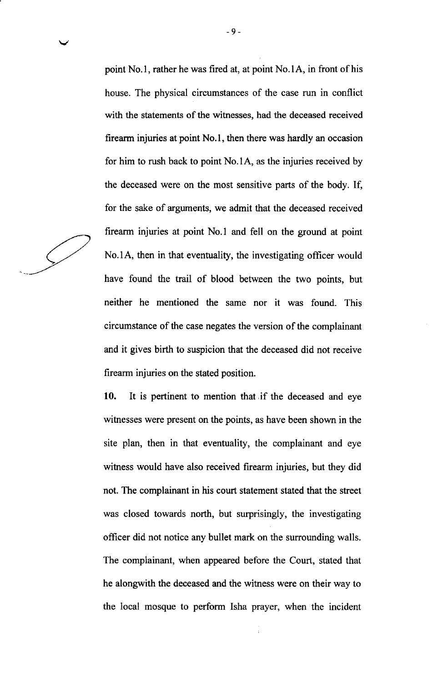point No.l, rather he was fired at, at point No.lA, in front of his house. The physical circumstances of the case run in conflict with the statements of the witnesses, had the deceased received firearm injuries at point No.l, then there was hardly an occasion for him to rush back to point No.1A, as the injuries received by the deceased were on the most sensitive parts of the body. If, for the sake of arguments, we admit that the deceased received firearm injuries at point No.l and fell on the ground at point No.lA, then in that eventuality, the investigating officer would have found the trail of blood between the two points, but neither he mentioned the same nor it was found. This circumstance of the case negates the version of the complainant and it gives birth to suspicion that the deceased did not receive firearm injuries on the stated position.

-9-

10. It is pertinent to mention that if the deceased and eye witnesses were present on the points, as have been shown in the site plan, then in that eventuality, the complainant and eye witness would have also received firearm injuries, but they did not. The complainant in his court statement stated that the street was closed towards north, but surprisingly, the investigating officer did not notice any bullet mark on the surrounding walls. The complainant, when appeared before the Court, stated that he alongwith the deceased and the witness were on their way to the local mosque to perform Isha prayer, when the incident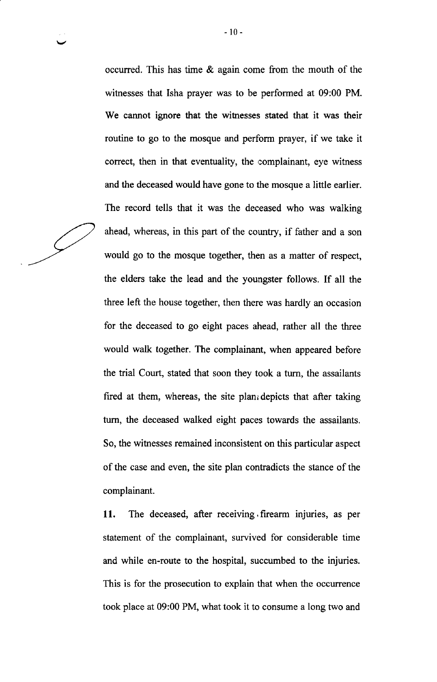occurred. This has time & again come from the mouth of the witnesses that Isha prayer was to be performed at 09:00 PM. We cannot ignore that the witresses stated that it was their routine to go to the mosque and perform prayer, if we take it correct, then in that eventuality, the complainant, eye witness and the deceased would have gone to the mosque a little earlier. The record tells that it was the deceased who was walking ahead, whereas, in this part of the country, if father and a son would go to the mosque together, then as a matter of respect, the elders take the lead and the youngster follows. If all the three left the house together, then there was hardly an occasion for the deceased to go eight paces ahead, rather all the three would walk together. The complainant, when appeared before the trial Court, stated that soon they took a turn, the assailants fired at them, whereas, the site plan<sub>i</sub> depicts that after taking tum, the deceased walked eight paces towards the assailants. So, the witresses remained inconsistent on this particular aspect of the case and even, the site plan contradicts the stance of the complainant.

11. The deceased, after receiving firearm injuries, as per statement of the complainant, survived for considerable time and while en-route to the hospital, succumbed to the injuries. This is for the prosecution to explain that when the occurrence took place at 09:00 PM, what took it to consume a long two and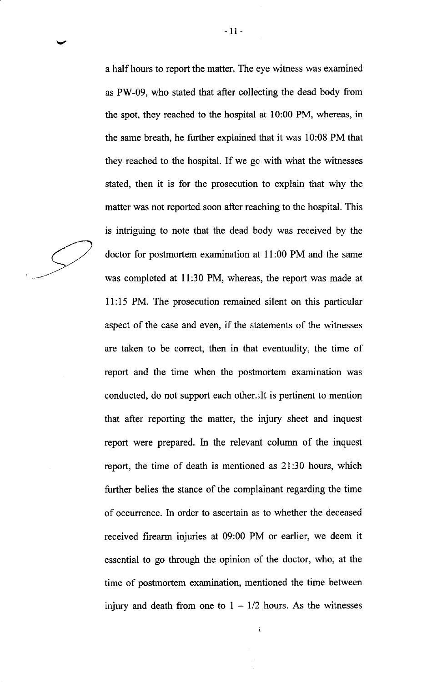a half hours to report the matter. The eye witness was examined as PW-09, who stated that after collecting the dead body from the spot, they reached to the hospital at 10:00 PM, whereas, in the same breath, he further explained that it was 10:08 PM that they reached to the hospital. If we gc with what the witnesses stated, then it is for the prosecution to explain that why the matter was not reported soon after reaching to the hospital. This is intriguing to note that the dead body was received by the doctor for postmortem examination at ll:00 PM and the same was completed at 11:30 PM, whereas, the report was made at 11:15 PM. The prosecution remained silent on this particular aspect of the case and even, if the statements of the witnesses are taken to be correct, then in that eventuality, the time of report and the time when the postmortem examination was conducted, do not support each other. ilt is pertinent to mention that after reporting the matter, the injury sheet and inquest report were prepared. In the relevant column of the inquest report, the time of death is mentioned as 2l:30 hours, which further belies the stance of the complainant regarding the time of occurrence. In order to ascertain as to whether the deceased received firearm injuries at 09:00 PM or earlier, we deem it essential to go through the opinion of the doctor, who, at the time of postmortem examination, mentioned the time between injury and death from one to  $1 - 1/2$  hours. As the witnesses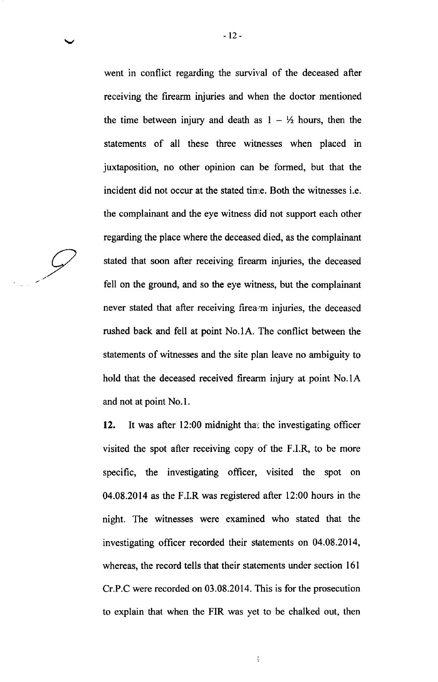went in conflict regarding the survival of the deceased after receiving the firearm injuries and when the doctor mentioned the time between injury and death as  $1 - \frac{1}{2}$  hours, then the statements of all these three witnesses when placed in juxtaposition, no other opinion can be formed, but that the incident did not occur at the stated time. Both the witnesses i.e. the complainant and the eye witness did not support each other regarding the place where the deceased dicd, as the complainant stated that soon after receiving firearm injuries, the deceased fell on the ground, and so the eye witness, but the complainant never stated that after receiving firea m injuries, the deceased rushed back and fell at point No.lA. The conflict between the statements of witnesses and the site plan leave no ambiguity to hold that the deceased received firearm injury at point No.1A and not at point No.l.

12. It was after 12:00 midnight that the investigating officer visited the spot after receiving copy of the F.LR, to be more specific, the investigating officer, visited the spot on 04.08.2014 as the F.I.R was registered after 12:00 hours in the night. The witnesses were examined who stated that the investigating officer recorded their statements on 04.08.2014, whereas, the record tells that their statements under section 16l Cr.P.C were recorded on 03.08.2014. This is for the prosecution to explain that when the FIR was yet to be chalked out, then

ţ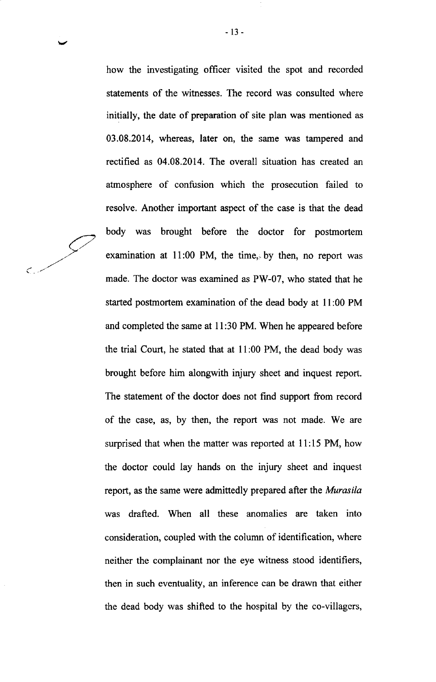how the investigating officer visited the spot and recorded statements of the witnesses. The record was consulted where initially, the date of preparation of site plan was mentioned as 03.08.2014, whereas, later on, the same was tampered and rectihed as 04.08.2014. The overall situation has created an atmosphere of confusion which the prosecution failed to resolve. Another important aspect of the case is that the dead body was brought before the doctor for postmortem examination at  $11:00$  PM, the time, by then, no report was made. The doctor was examined as PW-07, who stated that he started postmortem examination of the dead body at I 1:00 PM and completed the same at 1l:30 PM. When he appeared before the trial Court, he stated that at 11:00 PM, the dead body was brought before him alongwith injury sheet and inquest report. The statement of the doctor does not find support from record of the case, as, by then, the report was not made. We are surprised that when the matter was reported at 11:15 PM, how the doctor could lay hands on the injury sheet and inquest report, as the same were admittedly prepared after the *Murasila* was drafted. When all these anomalies are taken into consideration, coupled with the column of identification, where neither the complainant nor the eye witness stood identifiers, then in such eventuality, an inference can be drawn that either the dead body was shifted to the hospital by the co-villagcrs,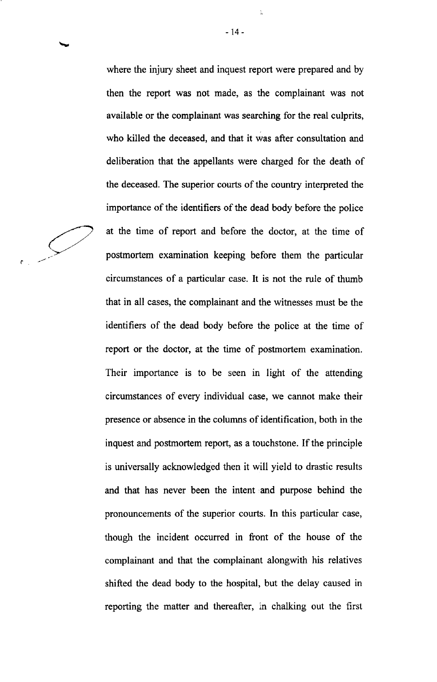where the injury sheet and inquest report were prepared and by then the report was not made, as the complainant was not available or the complainant was searching for the real culprits, who killed the deceased, and that it was after consultation and deliberation that the appellants were charged for the death of the deceased. The superior courts of the country interpreted the importance of the identifiers of the dead body before the police at the time of report and before the doctor, at the time of postmortem examination keeping before them the particular circumstances of a particular case. It is not the rule of thumb that in all cases, the complainant and the witresses must be the identifiers of the dead body before the police at the time of report or the doctor, at the time of postmortem examination. Their importance is to be seen in light of the attending circumstances of every individual case, we cannot make their presence or absence in the columns of identification, both in the inquest and postmortem report, as a touchstone. If the principle is universally acknowledged then it will yield to drastic results and that has never been the intent and purpose behind the pronouncements of the superior courts. In this particular case, though the incident occurred in front of the house of the complainant and that the complainant alongwith his relatives shifted the dead body to the hospital, but the delay caused in reporting the matter and thereafter, in chalking out the first

a

-14-

 $\frac{1}{24}$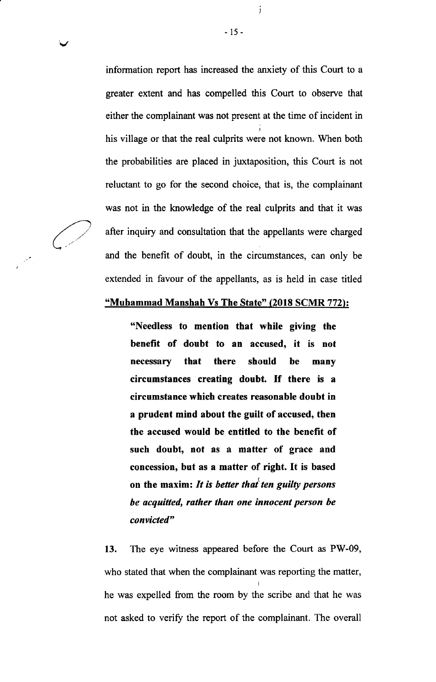information report has increased the anxiety of this Court to a greater extent and has compelled this Court to observe that either the complainant was not present at the time of incident in his village or that the real culprits were not known. When both the probabilities are placed in juxtaposition, this Court is not reluctant to go for the second choice, that is, the complainant was not in the knowledge of the real culprits and that it was after inquiry and consultation that the appellants were charged and the benefit of doubt, in the circumstances, can only be extended in favour of the appellants, as is held in case titled

-15-

j

## "Muhammad Manshah Vs The State" (2018 SCMR 772):

"Needless to mention that while giving the benefit of doubt to an accused, it is not necessary that there should be many circumstances creating doubt. If there is <sup>a</sup> circumstance which creates reasonable doubt in a prudent mind about the guilt of accused, then the accused would be entitled to the benefit of such doubt, not as a matter of grace and concession, but as a matter of right. It is based on the maxim: It is better that ten guilty persons be acquitted, rather than one innocent person be convicted"

13. The eye witness appeared before the Court as PW-09, who stated that when the complainant was reporting the matter, he was expelled from the room by the scribe and that he was not asked to verify the report of the complainant. The overall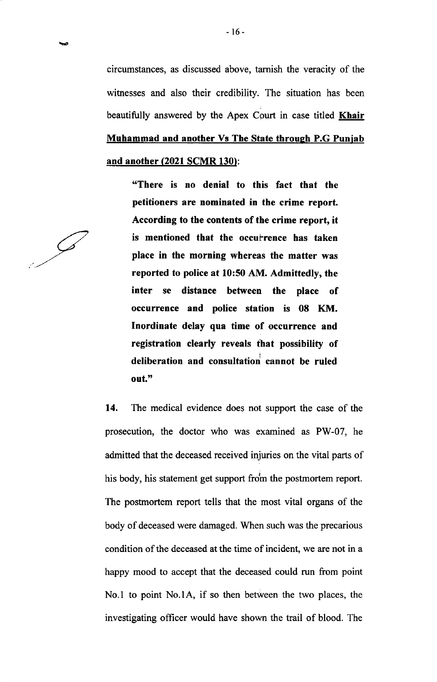circumstances, as discussed above, tamish the veracity of the witnesses and also their credibility. The situation has been beautifully answered by the Apex Court in case titled **Khair** Muhammad and another Vs The State through P.G Punjab and another (2021 SCMR 130):

'6There is no denial to this fact that the petitioners are nominated in the crime report. According to the contents of the crime report, it is mentioned that the occuirence has taken place in the morning whereas the matter was reported to police at 10:50 AM. Admittedly, the inter se distance between the place of occurrence and police station is 08 KM. Inordinate delay qua time of occurrence and registration clearly reveals that possibility of deliberation and consultatiori cannot be ruled out."

14. The medical evidence does not support the case of the prosecution, the doctor who was examined as PW-07, he admitted that the deceased received injuries on the vital parts of his body, his statement get support from the postmortem report. The postmortem report tells that the most vital organs of the body of deceased were damaged. When such was the precarious condition of the deceased at the time of incident, we are not in a happy mood to accept that the deceased could run from point No.l to point No.lA, if so then between the two places, the investigating officer would have shown the trail of blood. The

 $\oslash$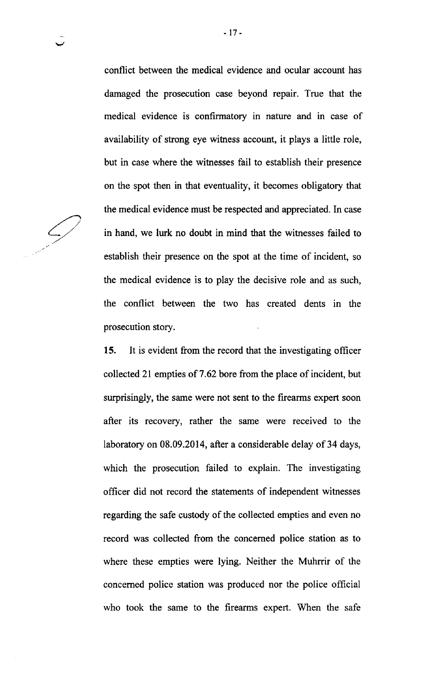conflict between the medical evidence and ocular account has damaged the prosecution case beyond repair. True that the medical evidence is confirmatory in nature and in case of availability of strong eye witness account, it plays a little role, but in case where the witnesses fail to establish their presence on the spot then in that eventuality, it becomes obligatory that the medical evidence must be respected and appreciated. In case in hand, we lurk no doubt in mind that the witnesses failed to establish their presence on the spot at the time of incident, so the medical evidence is to play the decisive role and as such, the conflict between the two has created dents in the prosecution story.

15. It is evident from the record that the investigating officer collected 2l empties of 7 .62 bore from the place of incident, but surprisingly, the same were not sent to the firearms expert soon after its recovery, rather the same were received to the laboratory on 08.09.2014, after a considerable delay of 34 days, which the prosecution failed to explain. The investigating officer did not record the statements of independent witnesses regarding the safe custody of the collected empties and even no record was collected from the concerned police station as to where these empties were lying. Neither the Muhrrir of the concemed police station was produced nor the police official who took the same to the firearms expert. When the safe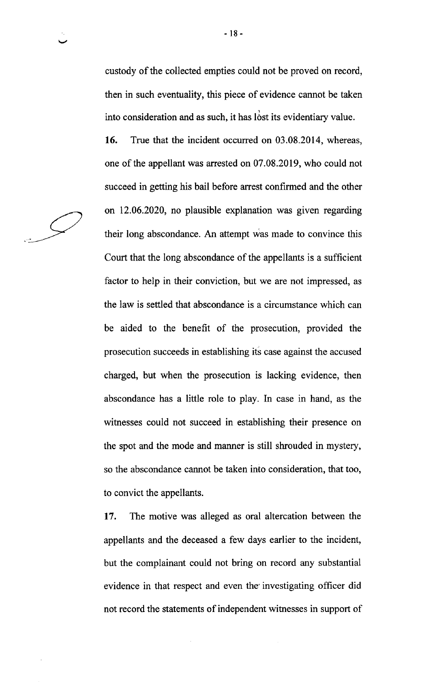custody of the collected empties could not be proved on record, then in such eventuality, this piece of evidence cannot be taken into consideration and as such, it has lost its evidentiary value.

16. True that the incident occurred on 03.08.2014, whereas, one of the appellant was arrested on 07.08.2019, who could not succeed in getting his bail before arrest confirmed and the other on 12.06.2020, no plausible explanation was given regarding their long abscondance. An attempt was made to convince this Court that the long abscondance of the appellants is a sufficient factor to help in their conviction, but we are not impressed, as the law is settled that abscondance is a circumstance which can be aided to the benefit of the prosecution, provided the prosecution succeeds in establishing its case against the accused charged, but when the prosecution is lacking evidence, then abscondance has a little role to play. In case in hand, as the witnesses could not succeed in establishing their presence on the spot and the mode and manner is still shrouded in mystery, so the abscondance cannot be taken into consideration, that too, to convict the appellants.

<sup>17</sup>. The motive was alleged as oral altercation between the appellants and the deceased a few days earlier to the incident, but the complainant could not bring on record any substantial evidence in that respect and even the'investigating officer did not record the statements of independent witnesses in support of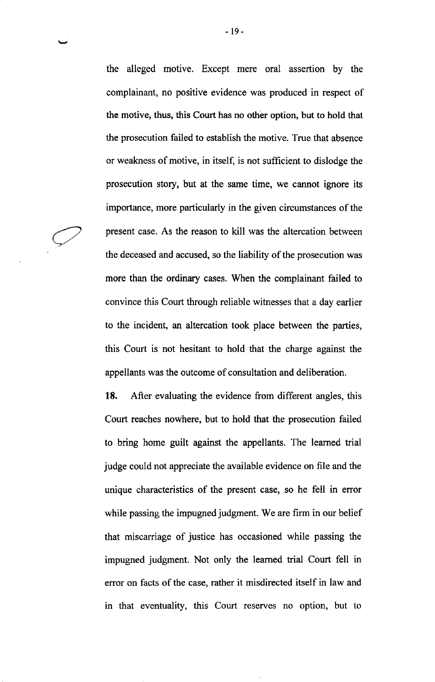the alleged motive. Except mere oral assertion by the complainant, no positive evidence was produced in respect of the motive, thus, this Court has no other option, but to hold that the prosecution failed to establish the motive. True that absence or weakness of motive, in itself, is not sufficient to dislodge the prosecution story, but at the same time, we cannot ignore its importance, more particularly in the given circumstances of the present case. As the reason to kill was the altercation between the deceased and accused, so the liability of the prosecution was more than the ordinary cases. When the complainant failed to convince this Court through reliable witnesses that a day earlier to the incident, an altercation took place between the parties, this Court is not hesitant to hold that the charge against the appellants was the outcome of consultation and deliberation.

18. Afler evaluating the evidence from different angles, this Court reaches nowhere, but to hold that the prosecution failed to bring home guilt against the appellants. The learned trial judge could not appreciate the available evidence on file and the unique characteristics of the present case, so he fell in error while passing the impugned judgment. We are firm in our belief that miscarriage of justice has occasioned while passing the impugned judgment. Not only the learned trial Court fell in error on facts of the case, rather it misdirected itself in law and in that eventuality, this Court reserves no option, but to